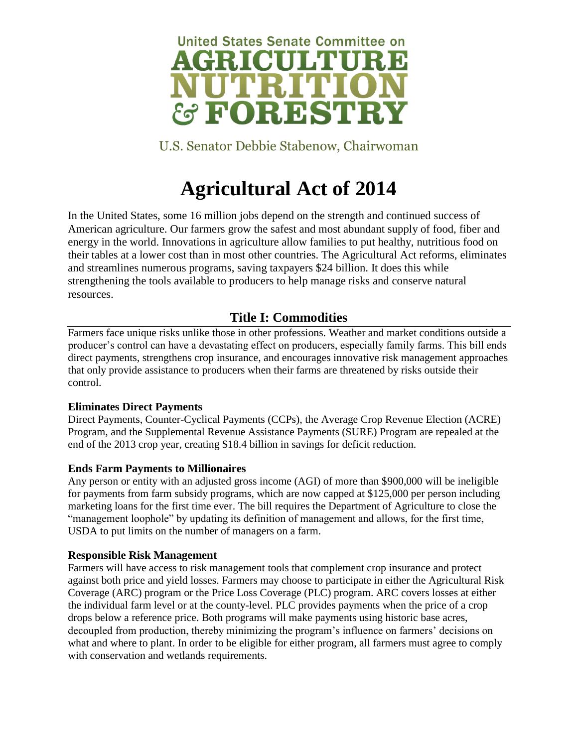

U.S. Senator Debbie Stabenow, Chairwoman

# **Agricultural Act of 2014**

In the United States, some 16 million jobs depend on the strength and continued success of American agriculture. Our farmers grow the safest and most abundant supply of food, fiber and energy in the world. Innovations in agriculture allow families to put healthy, nutritious food on their tables at a lower cost than in most other countries. The Agricultural Act reforms, eliminates and streamlines numerous programs, saving taxpayers \$24 billion. It does this while strengthening the tools available to producers to help manage risks and conserve natural resources.

# **Title I: Commodities**

Farmers face unique risks unlike those in other professions. Weather and market conditions outside a producer's control can have a devastating effect on producers, especially family farms. This bill ends direct payments, strengthens crop insurance, and encourages innovative risk management approaches that only provide assistance to producers when their farms are threatened by risks outside their control.

# **Eliminates Direct Payments**

Direct Payments, Counter-Cyclical Payments (CCPs), the Average Crop Revenue Election (ACRE) Program, and the Supplemental Revenue Assistance Payments (SURE) Program are repealed at the end of the 2013 crop year, creating \$18.4 billion in savings for deficit reduction.

# **Ends Farm Payments to Millionaires**

Any person or entity with an adjusted gross income (AGI) of more than \$900,000 will be ineligible for payments from farm subsidy programs, which are now capped at \$125,000 per person including marketing loans for the first time ever. The bill requires the Department of Agriculture to close the "management loophole" by updating its definition of management and allows, for the first time, USDA to put limits on the number of managers on a farm.

# **Responsible Risk Management**

Farmers will have access to risk management tools that complement crop insurance and protect against both price and yield losses. Farmers may choose to participate in either the Agricultural Risk Coverage (ARC) program or the Price Loss Coverage (PLC) program. ARC covers losses at either the individual farm level or at the county-level. PLC provides payments when the price of a crop drops below a reference price. Both programs will make payments using historic base acres, decoupled from production, thereby minimizing the program's influence on farmers' decisions on what and where to plant. In order to be eligible for either program, all farmers must agree to comply with conservation and wetlands requirements.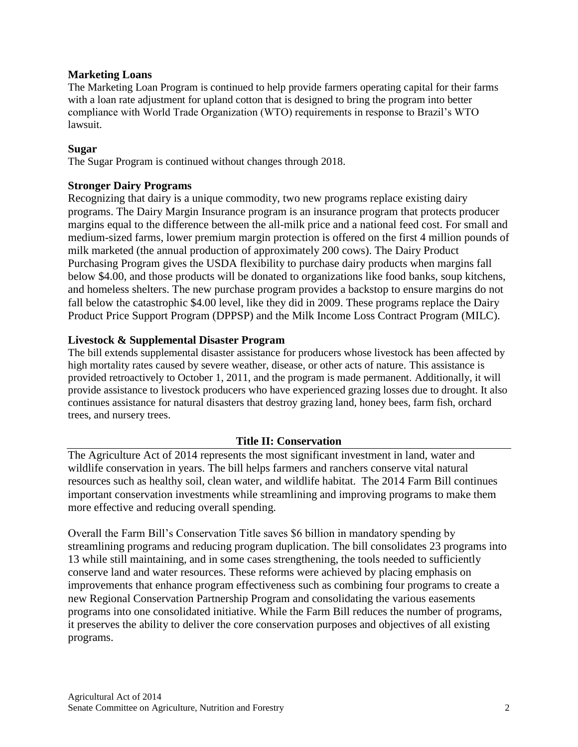# **Marketing Loans**

The Marketing Loan Program is continued to help provide farmers operating capital for their farms with a loan rate adjustment for upland cotton that is designed to bring the program into better compliance with World Trade Organization (WTO) requirements in response to Brazil's WTO lawsuit.

## **Sugar**

The Sugar Program is continued without changes through 2018.

## **Stronger Dairy Programs**

Recognizing that dairy is a unique commodity, two new programs replace existing dairy programs. The Dairy Margin Insurance program is an insurance program that protects producer margins equal to the difference between the all-milk price and a national feed cost. For small and medium-sized farms, lower premium margin protection is offered on the first 4 million pounds of milk marketed (the annual production of approximately 200 cows). The Dairy Product Purchasing Program gives the USDA flexibility to purchase dairy products when margins fall below \$4.00, and those products will be donated to organizations like food banks, soup kitchens, and homeless shelters. The new purchase program provides a backstop to ensure margins do not fall below the catastrophic \$4.00 level, like they did in 2009. These programs replace the Dairy Product Price Support Program (DPPSP) and the Milk Income Loss Contract Program (MILC).

# **Livestock & Supplemental Disaster Program**

The bill extends supplemental disaster assistance for producers whose livestock has been affected by high mortality rates caused by severe weather, disease, or other acts of nature. This assistance is provided retroactively to October 1, 2011, and the program is made permanent. Additionally, it will provide assistance to livestock producers who have experienced grazing losses due to drought. It also continues assistance for natural disasters that destroy grazing land, honey bees, farm fish, orchard trees, and nursery trees.

#### **Title II: Conservation**

The Agriculture Act of 2014 represents the most significant investment in land, water and wildlife conservation in years. The bill helps farmers and ranchers conserve vital natural resources such as healthy soil, clean water, and wildlife habitat. The 2014 Farm Bill continues important conservation investments while streamlining and improving programs to make them more effective and reducing overall spending.

Overall the Farm Bill's Conservation Title saves \$6 billion in mandatory spending by streamlining programs and reducing program duplication. The bill consolidates 23 programs into 13 while still maintaining, and in some cases strengthening, the tools needed to sufficiently conserve land and water resources. These reforms were achieved by placing emphasis on improvements that enhance program effectiveness such as combining four programs to create a new Regional Conservation Partnership Program and consolidating the various easements programs into one consolidated initiative. While the Farm Bill reduces the number of programs, it preserves the ability to deliver the core conservation purposes and objectives of all existing programs.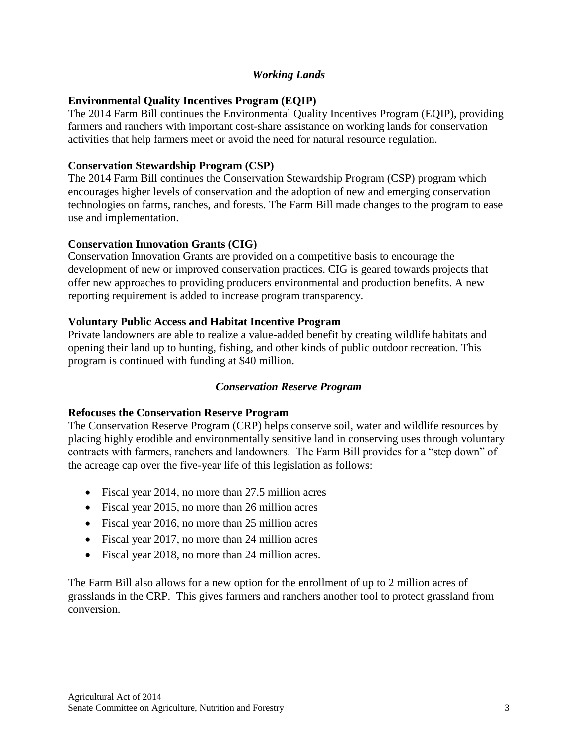# *Working Lands*

# **Environmental Quality Incentives Program (EQIP)**

The 2014 Farm Bill continues the Environmental Quality Incentives Program (EQIP), providing farmers and ranchers with important cost-share assistance on working lands for conservation activities that help farmers meet or avoid the need for natural resource regulation.

# **Conservation Stewardship Program (CSP)**

The 2014 Farm Bill continues the Conservation Stewardship Program (CSP) program which encourages higher levels of conservation and the adoption of new and emerging conservation technologies on farms, ranches, and forests. The Farm Bill made changes to the program to ease use and implementation.

# **Conservation Innovation Grants (CIG)**

Conservation Innovation Grants are provided on a competitive basis to encourage the development of new or improved conservation practices. CIG is geared towards projects that offer new approaches to providing producers environmental and production benefits. A new reporting requirement is added to increase program transparency.

# **Voluntary Public Access and Habitat Incentive Program**

Private landowners are able to realize a value-added benefit by creating wildlife habitats and opening their land up to hunting, fishing, and other kinds of public outdoor recreation. This program is continued with funding at \$40 million.

# *Conservation Reserve Program*

# **Refocuses the Conservation Reserve Program**

The Conservation Reserve Program (CRP) helps conserve soil, water and wildlife resources by placing highly erodible and environmentally sensitive land in conserving uses through voluntary contracts with farmers, ranchers and landowners. The Farm Bill provides for a "step down" of the acreage cap over the five-year life of this legislation as follows:

- Fiscal year 2014, no more than 27.5 million acres
- Fiscal year 2015, no more than 26 million acres
- Fiscal year 2016, no more than 25 million acres
- Fiscal year 2017, no more than 24 million acres
- Fiscal year 2018, no more than 24 million acres.

The Farm Bill also allows for a new option for the enrollment of up to 2 million acres of grasslands in the CRP. This gives farmers and ranchers another tool to protect grassland from conversion.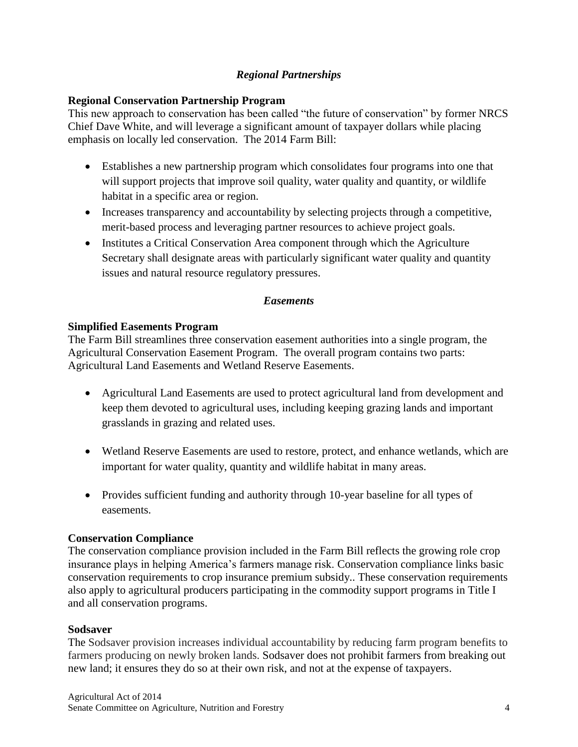# *Regional Partnerships*

# **Regional Conservation Partnership Program**

This new approach to conservation has been called "the future of conservation" by former NRCS Chief Dave White, and will leverage a significant amount of taxpayer dollars while placing emphasis on locally led conservation. The 2014 Farm Bill:

- Establishes a new partnership program which consolidates four programs into one that will support projects that improve soil quality, water quality and quantity, or wildlife habitat in a specific area or region.
- Increases transparency and accountability by selecting projects through a competitive, merit-based process and leveraging partner resources to achieve project goals.
- Institutes a Critical Conservation Area component through which the Agriculture Secretary shall designate areas with particularly significant water quality and quantity issues and natural resource regulatory pressures.

# *Easements*

# **Simplified Easements Program**

The Farm Bill streamlines three conservation easement authorities into a single program, the Agricultural Conservation Easement Program. The overall program contains two parts: Agricultural Land Easements and Wetland Reserve Easements.

- Agricultural Land Easements are used to protect agricultural land from development and keep them devoted to agricultural uses, including keeping grazing lands and important grasslands in grazing and related uses.
- Wetland Reserve Easements are used to restore, protect, and enhance wetlands, which are important for water quality, quantity and wildlife habitat in many areas.
- Provides sufficient funding and authority through 10-year baseline for all types of easements.

# **Conservation Compliance**

The conservation compliance provision included in the Farm Bill reflects the growing role crop insurance plays in helping America's farmers manage risk. Conservation compliance links basic conservation requirements to crop insurance premium subsidy.. These conservation requirements also apply to agricultural producers participating in the commodity support programs in Title I and all conservation programs.

# **Sodsaver**

The Sodsaver provision increases individual accountability by reducing farm program benefits to farmers producing on newly broken lands. Sodsaver does not prohibit farmers from breaking out new land; it ensures they do so at their own risk, and not at the expense of taxpayers.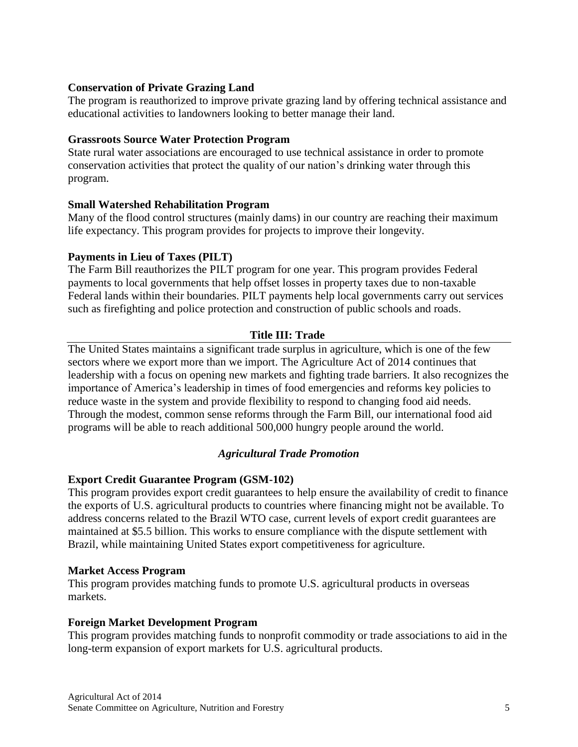# **Conservation of Private Grazing Land**

The program is reauthorized to improve private grazing land by offering technical assistance and educational activities to landowners looking to better manage their land.

# **Grassroots Source Water Protection Program**

State rural water associations are encouraged to use technical assistance in order to promote conservation activities that protect the quality of our nation's drinking water through this program.

# **Small Watershed Rehabilitation Program**

Many of the flood control structures (mainly dams) in our country are reaching their maximum life expectancy. This program provides for projects to improve their longevity.

# **Payments in Lieu of Taxes (PILT)**

The Farm Bill reauthorizes the PILT program for one year. This program provides Federal payments to local governments that help offset losses in property taxes due to non-taxable Federal lands within their boundaries. PILT payments help local governments carry out services such as firefighting and police protection and construction of public schools and roads.

# **Title III: Trade**

The United States maintains a significant trade surplus in agriculture, which is one of the few sectors where we export more than we import. The Agriculture Act of 2014 continues that leadership with a focus on opening new markets and fighting trade barriers. It also recognizes the importance of America's leadership in times of food emergencies and reforms key policies to reduce waste in the system and provide flexibility to respond to changing food aid needs. Through the modest, common sense reforms through the Farm Bill, our international food aid programs will be able to reach additional 500,000 hungry people around the world.

# *Agricultural Trade Promotion*

# **Export Credit Guarantee Program (GSM-102)**

This program provides export credit guarantees to help ensure the availability of credit to finance the exports of U.S. agricultural products to countries where financing might not be available. To address concerns related to the Brazil WTO case, current levels of export credit guarantees are maintained at \$5.5 billion. This works to ensure compliance with the dispute settlement with Brazil, while maintaining United States export competitiveness for agriculture.

# **Market Access Program**

This program provides matching funds to promote U.S. agricultural products in overseas markets.

# **Foreign Market Development Program**

This program provides matching funds to nonprofit commodity or trade associations to aid in the long-term expansion of export markets for U.S. agricultural products.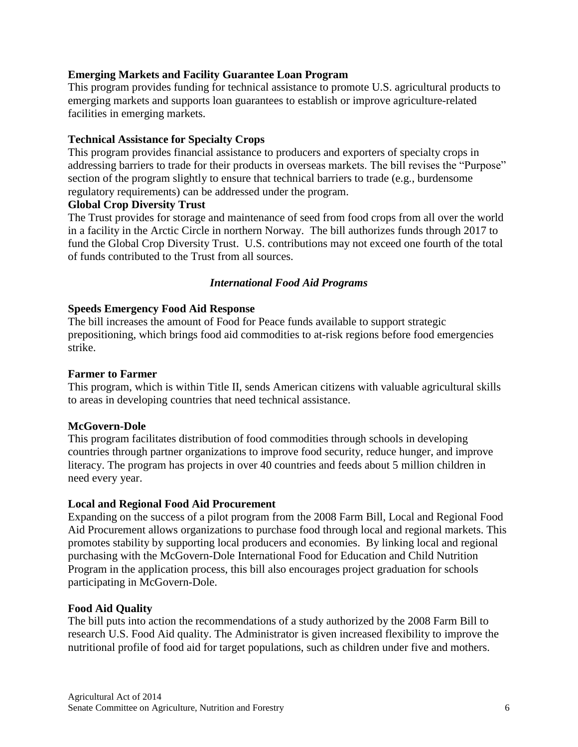# **Emerging Markets and Facility Guarantee Loan Program**

This program provides funding for technical assistance to promote U.S. agricultural products to emerging markets and supports loan guarantees to establish or improve agriculture-related facilities in emerging markets.

# **Technical Assistance for Specialty Crops**

This program provides financial assistance to producers and exporters of specialty crops in addressing barriers to trade for their products in overseas markets. The bill revises the "Purpose" section of the program slightly to ensure that technical barriers to trade (e.g., burdensome regulatory requirements) can be addressed under the program.

# **Global Crop Diversity Trust**

The Trust provides for storage and maintenance of seed from food crops from all over the world in a facility in the Arctic Circle in northern Norway. The bill authorizes funds through 2017 to fund the Global Crop Diversity Trust. U.S. contributions may not exceed one fourth of the total of funds contributed to the Trust from all sources.

# *International Food Aid Programs*

# **Speeds Emergency Food Aid Response**

The bill increases the amount of Food for Peace funds available to support strategic prepositioning, which brings food aid commodities to at-risk regions before food emergencies strike.

# **Farmer to Farmer**

This program, which is within Title II, sends American citizens with valuable agricultural skills to areas in developing countries that need technical assistance.

# **McGovern-Dole**

This program facilitates distribution of food commodities through schools in developing countries through partner organizations to improve food security, reduce hunger, and improve literacy. The program has projects in over 40 countries and feeds about 5 million children in need every year.

# **Local and Regional Food Aid Procurement**

Expanding on the success of a pilot program from the 2008 Farm Bill, Local and Regional Food Aid Procurement allows organizations to purchase food through local and regional markets. This promotes stability by supporting local producers and economies. By linking local and regional purchasing with the McGovern-Dole International Food for Education and Child Nutrition Program in the application process, this bill also encourages project graduation for schools participating in McGovern-Dole.

# **Food Aid Quality**

The bill puts into action the recommendations of a study authorized by the 2008 Farm Bill to research U.S. Food Aid quality. The Administrator is given increased flexibility to improve the nutritional profile of food aid for target populations, such as children under five and mothers.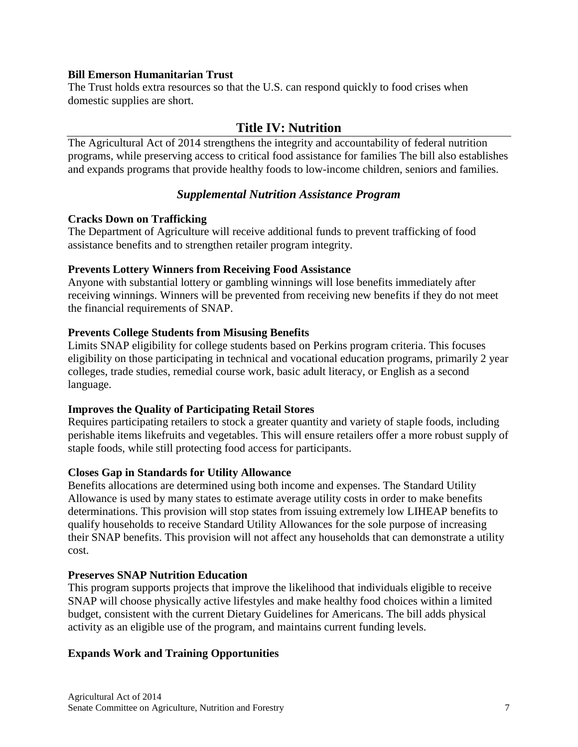## **Bill Emerson Humanitarian Trust**

The Trust holds extra resources so that the U.S. can respond quickly to food crises when domestic supplies are short.

# **Title IV: Nutrition**

The Agricultural Act of 2014 strengthens the integrity and accountability of federal nutrition programs, while preserving access to critical food assistance for families The bill also establishes and expands programs that provide healthy foods to low-income children, seniors and families.

# *Supplemental Nutrition Assistance Program*

# **Cracks Down on Trafficking**

The Department of Agriculture will receive additional funds to prevent trafficking of food assistance benefits and to strengthen retailer program integrity.

# **Prevents Lottery Winners from Receiving Food Assistance**

Anyone with substantial lottery or gambling winnings will lose benefits immediately after receiving winnings. Winners will be prevented from receiving new benefits if they do not meet the financial requirements of SNAP.

#### **Prevents College Students from Misusing Benefits**

Limits SNAP eligibility for college students based on Perkins program criteria. This focuses eligibility on those participating in technical and vocational education programs, primarily 2 year colleges, trade studies, remedial course work, basic adult literacy, or English as a second language.

# **Improves the Quality of Participating Retail Stores**

Requires participating retailers to stock a greater quantity and variety of staple foods, including perishable items likefruits and vegetables. This will ensure retailers offer a more robust supply of staple foods, while still protecting food access for participants.

# **Closes Gap in Standards for Utility Allowance**

Benefits allocations are determined using both income and expenses. The Standard Utility Allowance is used by many states to estimate average utility costs in order to make benefits determinations. This provision will stop states from issuing extremely low LIHEAP benefits to qualify households to receive Standard Utility Allowances for the sole purpose of increasing their SNAP benefits. This provision will not affect any households that can demonstrate a utility cost.

#### **Preserves SNAP Nutrition Education**

This program supports projects that improve the likelihood that individuals eligible to receive SNAP will choose physically active lifestyles and make healthy food choices within a limited budget, consistent with the current Dietary Guidelines for Americans. The bill adds physical activity as an eligible use of the program, and maintains current funding levels.

# **Expands Work and Training Opportunities**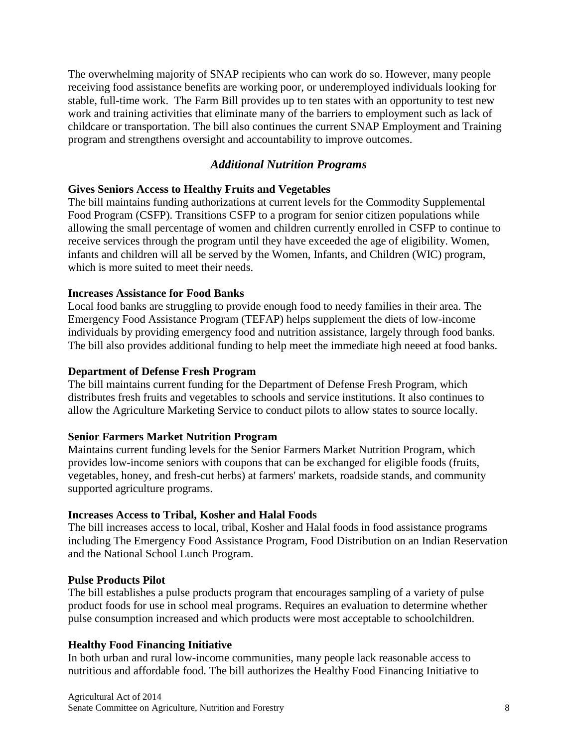The overwhelming majority of SNAP recipients who can work do so. However, many people receiving food assistance benefits are working poor, or underemployed individuals looking for stable, full-time work. The Farm Bill provides up to ten states with an opportunity to test new work and training activities that eliminate many of the barriers to employment such as lack of childcare or transportation. The bill also continues the current SNAP Employment and Training program and strengthens oversight and accountability to improve outcomes.

# *Additional Nutrition Programs*

# **Gives Seniors Access to Healthy Fruits and Vegetables**

The bill maintains funding authorizations at current levels for the Commodity Supplemental Food Program (CSFP). Transitions CSFP to a program for senior citizen populations while allowing the small percentage of women and children currently enrolled in CSFP to continue to receive services through the program until they have exceeded the age of eligibility. Women, infants and children will all be served by the Women, Infants, and Children (WIC) program, which is more suited to meet their needs.

# **Increases Assistance for Food Banks**

Local food banks are struggling to provide enough food to needy families in their area. The Emergency Food Assistance Program (TEFAP) helps supplement the diets of low-income individuals by providing emergency food and nutrition assistance, largely through food banks. The bill also provides additional funding to help meet the immediate high neeed at food banks.

# **Department of Defense Fresh Program**

The bill maintains current funding for the Department of Defense Fresh Program, which distributes fresh fruits and vegetables to schools and service institutions. It also continues to allow the Agriculture Marketing Service to conduct pilots to allow states to source locally.

# **Senior Farmers Market Nutrition Program**

Maintains current funding levels for the Senior Farmers Market Nutrition Program, which provides low-income seniors with coupons that can be exchanged for eligible foods (fruits, vegetables, honey, and fresh-cut herbs) at farmers' markets, roadside stands, and community supported agriculture programs.

# **Increases Access to Tribal, Kosher and Halal Foods**

The bill increases access to local, tribal, Kosher and Halal foods in food assistance programs including The Emergency Food Assistance Program, Food Distribution on an Indian Reservation and the National School Lunch Program.

# **Pulse Products Pilot**

The bill establishes a pulse products program that encourages sampling of a variety of pulse product foods for use in school meal programs. Requires an evaluation to determine whether pulse consumption increased and which products were most acceptable to schoolchildren.

# **Healthy Food Financing Initiative**

In both urban and rural low-income communities, many people lack reasonable access to nutritious and affordable food. The bill authorizes the Healthy Food Financing Initiative to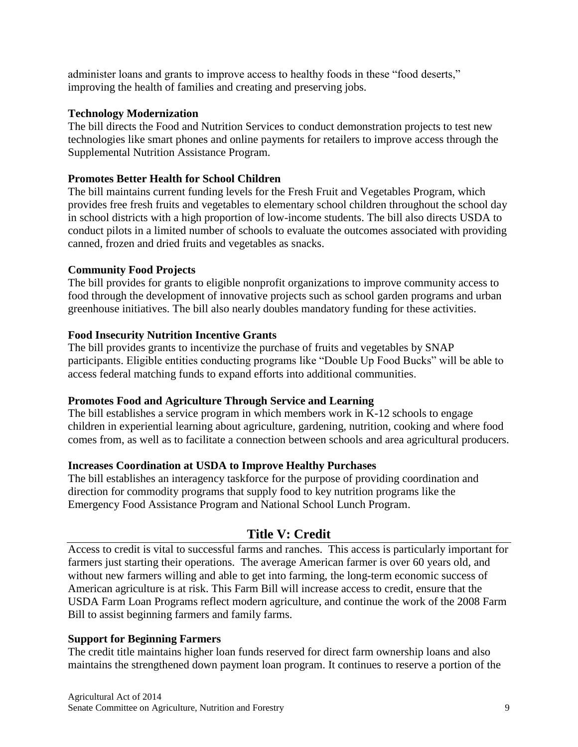administer loans and grants to improve access to healthy foods in these "food deserts," improving the health of families and creating and preserving jobs.

# **Technology Modernization**

The bill directs the Food and Nutrition Services to conduct demonstration projects to test new technologies like smart phones and online payments for retailers to improve access through the Supplemental Nutrition Assistance Program.

# **Promotes Better Health for School Children**

The bill maintains current funding levels for the Fresh Fruit and Vegetables Program, which provides free fresh fruits and vegetables to elementary school children throughout the school day in school districts with a high proportion of low-income students. The bill also directs USDA to conduct pilots in a limited number of schools to evaluate the outcomes associated with providing canned, frozen and dried fruits and vegetables as snacks.

# **Community Food Projects**

The bill provides for grants to eligible nonprofit organizations to improve community access to food through the development of innovative projects such as school garden programs and urban greenhouse initiatives. The bill also nearly doubles mandatory funding for these activities.

# **Food Insecurity Nutrition Incentive Grants**

The bill provides grants to incentivize the purchase of fruits and vegetables by SNAP participants. Eligible entities conducting programs like "Double Up Food Bucks" will be able to access federal matching funds to expand efforts into additional communities.

# **Promotes Food and Agriculture Through Service and Learning**

The bill establishes a service program in which members work in K-12 schools to engage children in experiential learning about agriculture, gardening, nutrition, cooking and where food comes from, as well as to facilitate a connection between schools and area agricultural producers.

# **Increases Coordination at USDA to Improve Healthy Purchases**

The bill establishes an interagency taskforce for the purpose of providing coordination and direction for commodity programs that supply food to key nutrition programs like the Emergency Food Assistance Program and National School Lunch Program.

# **Title V: Credit**

Access to credit is vital to successful farms and ranches. This access is particularly important for farmers just starting their operations. The average American farmer is over 60 years old, and without new farmers willing and able to get into farming, the long-term economic success of American agriculture is at risk. This Farm Bill will increase access to credit, ensure that the USDA Farm Loan Programs reflect modern agriculture, and continue the work of the 2008 Farm Bill to assist beginning farmers and family farms.

# **Support for Beginning Farmers**

The credit title maintains higher loan funds reserved for direct farm ownership loans and also maintains the strengthened down payment loan program. It continues to reserve a portion of the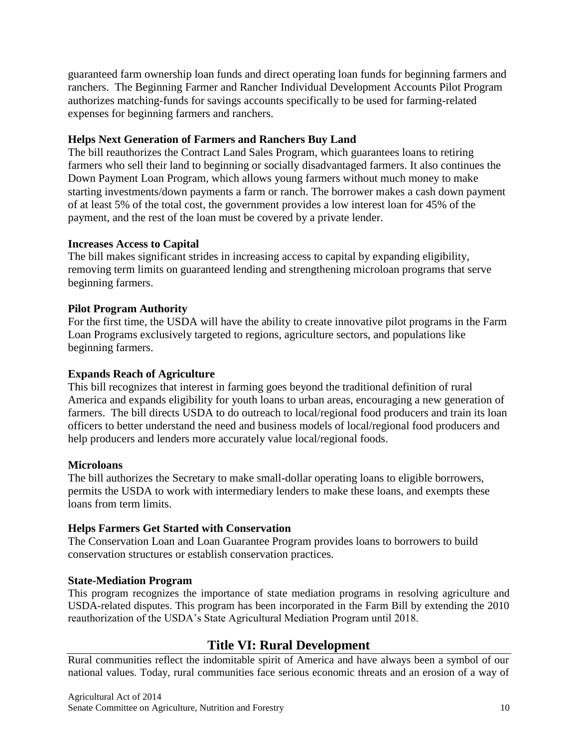guaranteed farm ownership loan funds and direct operating loan funds for beginning farmers and ranchers. The Beginning Farmer and Rancher Individual Development Accounts Pilot Program authorizes matching-funds for savings accounts specifically to be used for farming-related expenses for beginning farmers and ranchers.

# **Helps Next Generation of Farmers and Ranchers Buy Land**

The bill reauthorizes the Contract Land Sales Program, which guarantees loans to retiring farmers who sell their land to beginning or socially disadvantaged farmers. It also continues the Down Payment Loan Program, which allows young farmers without much money to make starting investments/down payments a farm or ranch. The borrower makes a cash down payment of at least 5% of the total cost, the government provides a low interest loan for 45% of the payment, and the rest of the loan must be covered by a private lender.

# **Increases Access to Capital**

The bill makes significant strides in increasing access to capital by expanding eligibility, removing term limits on guaranteed lending and strengthening microloan programs that serve beginning farmers.

# **Pilot Program Authority**

For the first time, the USDA will have the ability to create innovative pilot programs in the Farm Loan Programs exclusively targeted to regions, agriculture sectors, and populations like beginning farmers.

# **Expands Reach of Agriculture**

This bill recognizes that interest in farming goes beyond the traditional definition of rural America and expands eligibility for youth loans to urban areas, encouraging a new generation of farmers. The bill directs USDA to do outreach to local/regional food producers and train its loan officers to better understand the need and business models of local/regional food producers and help producers and lenders more accurately value local/regional foods.

# **Microloans**

The bill authorizes the Secretary to make small-dollar operating loans to eligible borrowers, permits the USDA to work with intermediary lenders to make these loans, and exempts these loans from term limits.

# **Helps Farmers Get Started with Conservation**

The Conservation Loan and Loan Guarantee Program provides loans to borrowers to build conservation structures or establish conservation practices.

# **State-Mediation Program**

This program recognizes the importance of state mediation programs in resolving agriculture and USDA-related disputes. This program has been incorporated in the Farm Bill by extending the 2010 reauthorization of the USDA's State Agricultural Mediation Program until 2018.

# **Title VI: Rural Development**

Rural communities reflect the indomitable spirit of America and have always been a symbol of our national values. Today, rural communities face serious economic threats and an erosion of a way of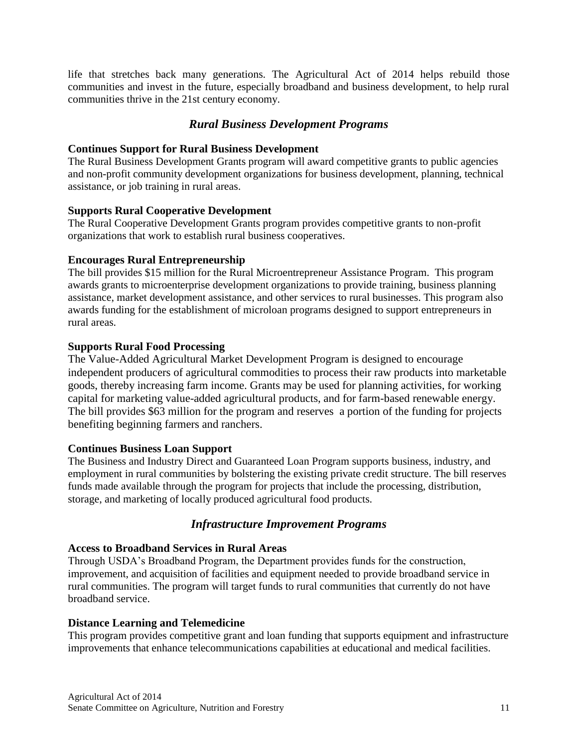life that stretches back many generations. The Agricultural Act of 2014 helps rebuild those communities and invest in the future, especially broadband and business development, to help rural communities thrive in the 21st century economy.

# *Rural Business Development Programs*

# **Continues Support for Rural Business Development**

The Rural Business Development Grants program will award competitive grants to public agencies and non-profit community development organizations for business development, planning, technical assistance, or job training in rural areas.

#### **Supports Rural Cooperative Development**

The Rural Cooperative Development Grants program provides competitive grants to non-profit organizations that work to establish rural business cooperatives.

#### **Encourages Rural Entrepreneurship**

The bill provides \$15 million for the Rural Microentrepreneur Assistance Program. This program awards grants to microenterprise development organizations to provide training, business planning assistance, market development assistance, and other services to rural businesses. This program also awards funding for the establishment of microloan programs designed to support entrepreneurs in rural areas.

#### **Supports Rural Food Processing**

The Value-Added Agricultural Market Development Program is designed to encourage independent producers of agricultural commodities to process their raw products into marketable goods, thereby increasing farm income. Grants may be used for planning activities, for working capital for marketing value-added agricultural products, and for farm-based renewable energy. The bill provides \$63 million for the program and reserves a portion of the funding for projects benefiting beginning farmers and ranchers.

# **Continues Business Loan Support**

The Business and Industry Direct and Guaranteed Loan Program supports business, industry, and employment in rural communities by bolstering the existing private credit structure. The bill reserves funds made available through the program for projects that include the processing, distribution, storage, and marketing of locally produced agricultural food products.

# *Infrastructure Improvement Programs*

## **Access to Broadband Services in Rural Areas**

Through USDA's Broadband Program, the Department provides funds for the construction, improvement, and acquisition of facilities and equipment needed to provide broadband service in rural communities. The program will target funds to rural communities that currently do not have broadband service.

#### **Distance Learning and Telemedicine**

This program provides competitive grant and loan funding that supports equipment and infrastructure improvements that enhance telecommunications capabilities at educational and medical facilities.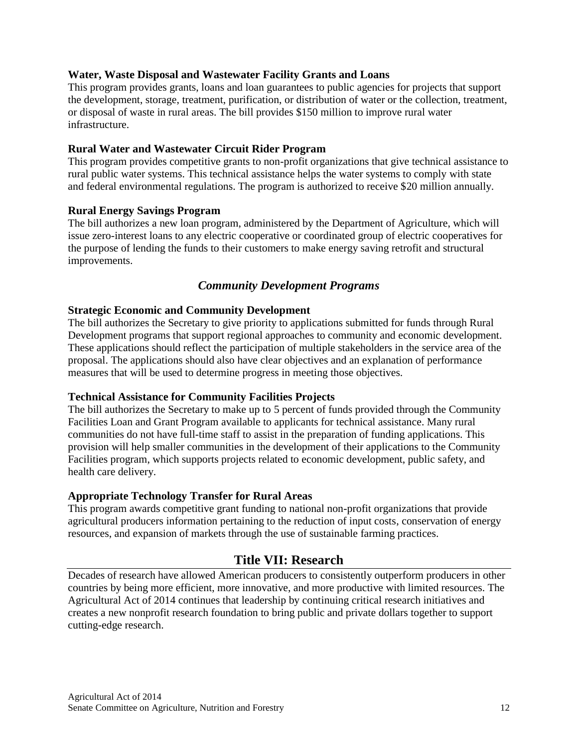# **Water, Waste Disposal and Wastewater Facility Grants and Loans**

This program provides grants, loans and loan guarantees to public agencies for projects that support the development, storage, treatment, purification, or distribution of water or the collection, treatment, or disposal of waste in rural areas. The bill provides \$150 million to improve rural water infrastructure.

# **Rural Water and Wastewater Circuit Rider Program**

This program provides competitive grants to non-profit organizations that give technical assistance to rural public water systems. This technical assistance helps the water systems to comply with state and federal environmental regulations. The program is authorized to receive \$20 million annually.

# **Rural Energy Savings Program**

The bill authorizes a new loan program, administered by the Department of Agriculture, which will issue zero-interest loans to any electric cooperative or coordinated group of electric cooperatives for the purpose of lending the funds to their customers to make energy saving retrofit and structural improvements.

# *Community Development Programs*

# **Strategic Economic and Community Development**

The bill authorizes the Secretary to give priority to applications submitted for funds through Rural Development programs that support regional approaches to community and economic development. These applications should reflect the participation of multiple stakeholders in the service area of the proposal. The applications should also have clear objectives and an explanation of performance measures that will be used to determine progress in meeting those objectives.

# **Technical Assistance for Community Facilities Projects**

The bill authorizes the Secretary to make up to 5 percent of funds provided through the Community Facilities Loan and Grant Program available to applicants for technical assistance. Many rural communities do not have full-time staff to assist in the preparation of funding applications. This provision will help smaller communities in the development of their applications to the Community Facilities program, which supports projects related to economic development, public safety, and health care delivery.

# **Appropriate Technology Transfer for Rural Areas**

This program awards competitive grant funding to national non-profit organizations that provide agricultural producers information pertaining to the reduction of input costs, conservation of energy resources, and expansion of markets through the use of sustainable farming practices.

# **Title VII: Research**

Decades of research have allowed American producers to consistently outperform producers in other countries by being more efficient, more innovative, and more productive with limited resources. The Agricultural Act of 2014 continues that leadership by continuing critical research initiatives and creates a new nonprofit research foundation to bring public and private dollars together to support cutting-edge research.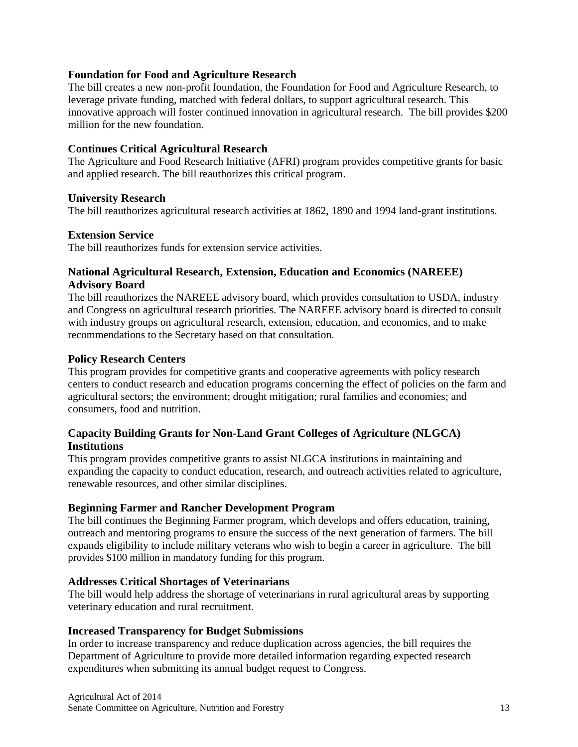# **Foundation for Food and Agriculture Research**

The bill creates a new non-profit foundation, the Foundation for Food and Agriculture Research, to leverage private funding, matched with federal dollars, to support agricultural research. This innovative approach will foster continued innovation in agricultural research. The bill provides \$200 million for the new foundation.

## **Continues Critical Agricultural Research**

The Agriculture and Food Research Initiative (AFRI) program provides competitive grants for basic and applied research. The bill reauthorizes this critical program.

#### **University Research**

The bill reauthorizes agricultural research activities at 1862, 1890 and 1994 land-grant institutions.

#### **Extension Service**

The bill reauthorizes funds for extension service activities.

# **National Agricultural Research, Extension, Education and Economics (NAREEE) Advisory Board**

The bill reauthorizes the NAREEE advisory board, which provides consultation to USDA, industry and Congress on agricultural research priorities. The NAREEE advisory board is directed to consult with industry groups on agricultural research, extension, education, and economics, and to make recommendations to the Secretary based on that consultation.

#### **Policy Research Centers**

This program provides for competitive grants and cooperative agreements with policy research centers to conduct research and education programs concerning the effect of policies on the farm and agricultural sectors; the environment; drought mitigation; rural families and economies; and consumers, food and nutrition.

# **Capacity Building Grants for Non-Land Grant Colleges of Agriculture (NLGCA) Institutions**

This program provides competitive grants to assist NLGCA institutions in maintaining and expanding the capacity to conduct education, research, and outreach activities related to agriculture, renewable resources, and other similar disciplines.

#### **Beginning Farmer and Rancher Development Program**

The bill continues the Beginning Farmer program, which develops and offers education, training, outreach and mentoring programs to ensure the success of the next generation of farmers. The bill expands eligibility to include military veterans who wish to begin a career in agriculture. The bill provides \$100 million in mandatory funding for this program.

#### **Addresses Critical Shortages of Veterinarians**

The bill would help address the shortage of veterinarians in rural agricultural areas by supporting veterinary education and rural recruitment.

#### **Increased Transparency for Budget Submissions**

In order to increase transparency and reduce duplication across agencies, the bill requires the Department of Agriculture to provide more detailed information regarding expected research expenditures when submitting its annual budget request to Congress.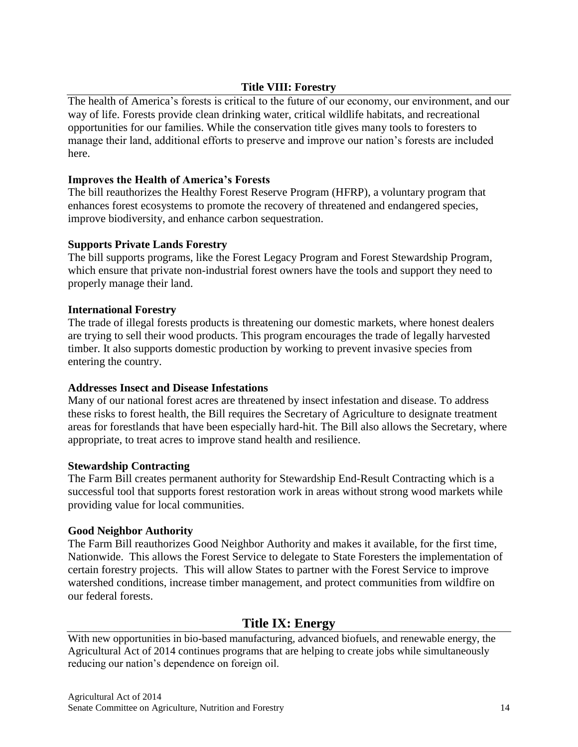# **Title VIII: Forestry**

The health of America's forests is critical to the future of our economy, our environment, and our way of life. Forests provide clean drinking water, critical wildlife habitats, and recreational opportunities for our families. While the conservation title gives many tools to foresters to manage their land, additional efforts to preserve and improve our nation's forests are included here.

# **Improves the Health of America's Forests**

The bill reauthorizes the Healthy Forest Reserve Program (HFRP), a voluntary program that enhances forest ecosystems to promote the recovery of threatened and endangered species, improve biodiversity, and enhance carbon sequestration.

# **Supports Private Lands Forestry**

The bill supports programs, like the Forest Legacy Program and Forest Stewardship Program, which ensure that private non-industrial forest owners have the tools and support they need to properly manage their land.

# **International Forestry**

The trade of illegal forests products is threatening our domestic markets, where honest dealers are trying to sell their wood products. This program encourages the trade of legally harvested timber. It also supports domestic production by working to prevent invasive species from entering the country.

# **Addresses Insect and Disease Infestations**

Many of our national forest acres are threatened by insect infestation and disease. To address these risks to forest health, the Bill requires the Secretary of Agriculture to designate treatment areas for forestlands that have been especially hard-hit. The Bill also allows the Secretary, where appropriate, to treat acres to improve stand health and resilience.

# **Stewardship Contracting**

The Farm Bill creates permanent authority for Stewardship End-Result Contracting which is a successful tool that supports forest restoration work in areas without strong wood markets while providing value for local communities.

# **Good Neighbor Authority**

The Farm Bill reauthorizes Good Neighbor Authority and makes it available, for the first time, Nationwide. This allows the Forest Service to delegate to State Foresters the implementation of certain forestry projects. This will allow States to partner with the Forest Service to improve watershed conditions, increase timber management, and protect communities from wildfire on our federal forests.

# **Title IX: Energy**

With new opportunities in bio-based manufacturing, advanced biofuels, and renewable energy, the Agricultural Act of 2014 continues programs that are helping to create jobs while simultaneously reducing our nation's dependence on foreign oil.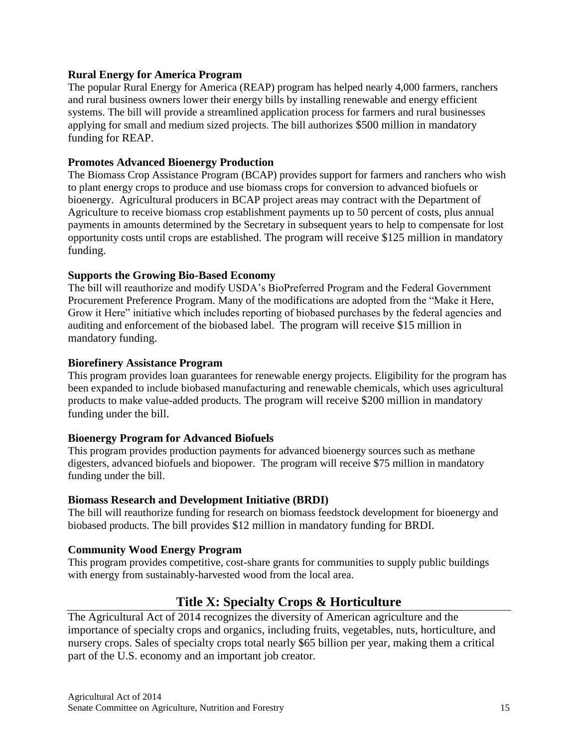# **Rural Energy for America Program**

The popular Rural Energy for America (REAP) program has helped nearly 4,000 farmers, ranchers and rural business owners lower their energy bills by installing renewable and energy efficient systems. The bill will provide a streamlined application process for farmers and rural businesses applying for small and medium sized projects. The bill authorizes \$500 million in mandatory funding for REAP.

## **Promotes Advanced Bioenergy Production**

The Biomass Crop Assistance Program (BCAP) provides support for farmers and ranchers who wish to plant energy crops to produce and use biomass crops for conversion to advanced biofuels or bioenergy. Agricultural producers in BCAP project areas may contract with the Department of Agriculture to receive biomass crop establishment payments up to 50 percent of costs, plus annual payments in amounts determined by the Secretary in subsequent years to help to compensate for lost opportunity costs until crops are established. The program will receive \$125 million in mandatory funding.

#### **Supports the Growing Bio-Based Economy**

The bill will reauthorize and modify USDA's BioPreferred Program and the Federal Government Procurement Preference Program. Many of the modifications are adopted from the "Make it Here, Grow it Here" initiative which includes reporting of biobased purchases by the federal agencies and auditing and enforcement of the biobased label. The program will receive \$15 million in mandatory funding.

#### **Biorefinery Assistance Program**

This program provides loan guarantees for renewable energy projects. Eligibility for the program has been expanded to include biobased manufacturing and renewable chemicals, which uses agricultural products to make value-added products. The program will receive \$200 million in mandatory funding under the bill.

# **Bioenergy Program for Advanced Biofuels**

This program provides production payments for advanced bioenergy sources such as methane digesters, advanced biofuels and biopower. The program will receive \$75 million in mandatory funding under the bill.

# **Biomass Research and Development Initiative (BRDI)**

The bill will reauthorize funding for research on biomass feedstock development for bioenergy and biobased products. The bill provides \$12 million in mandatory funding for BRDI.

# **Community Wood Energy Program**

This program provides competitive, cost-share grants for communities to supply public buildings with energy from sustainably-harvested wood from the local area.

# **Title X: Specialty Crops & Horticulture**

The Agricultural Act of 2014 recognizes the diversity of American agriculture and the importance of specialty crops and organics, including fruits, vegetables, nuts, horticulture, and nursery crops. Sales of specialty crops total nearly \$65 billion per year, making them a critical part of the U.S. economy and an important job creator.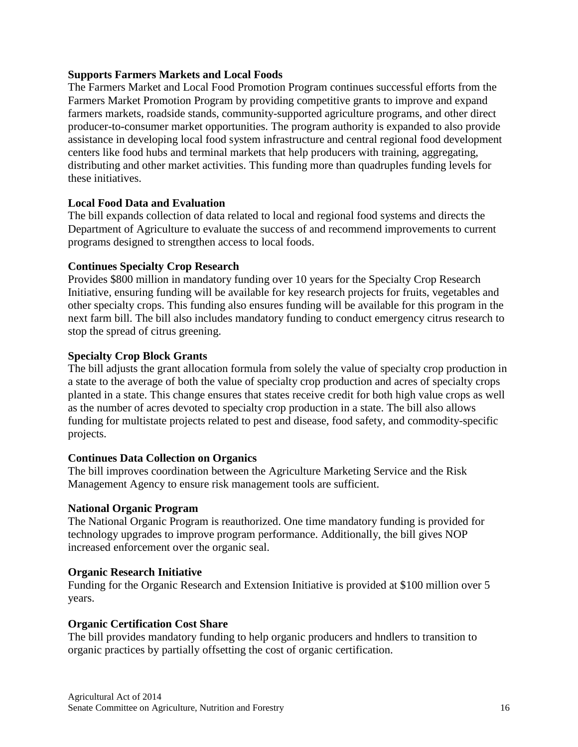# **Supports Farmers Markets and Local Foods**

The Farmers Market and Local Food Promotion Program continues successful efforts from the Farmers Market Promotion Program by providing competitive grants to improve and expand farmers markets, roadside stands, community-supported agriculture programs, and other direct producer-to-consumer market opportunities. The program authority is expanded to also provide assistance in developing local food system infrastructure and central regional food development centers like food hubs and terminal markets that help producers with training, aggregating, distributing and other market activities. This funding more than quadruples funding levels for these initiatives.

#### **Local Food Data and Evaluation**

The bill expands collection of data related to local and regional food systems and directs the Department of Agriculture to evaluate the success of and recommend improvements to current programs designed to strengthen access to local foods.

#### **Continues Specialty Crop Research**

Provides \$800 million in mandatory funding over 10 years for the Specialty Crop Research Initiative, ensuring funding will be available for key research projects for fruits, vegetables and other specialty crops. This funding also ensures funding will be available for this program in the next farm bill. The bill also includes mandatory funding to conduct emergency citrus research to stop the spread of citrus greening.

#### **Specialty Crop Block Grants**

The bill adjusts the grant allocation formula from solely the value of specialty crop production in a state to the average of both the value of specialty crop production and acres of specialty crops planted in a state. This change ensures that states receive credit for both high value crops as well as the number of acres devoted to specialty crop production in a state. The bill also allows funding for multistate projects related to pest and disease, food safety, and commodity-specific projects.

# **Continues Data Collection on Organics**

The bill improves coordination between the Agriculture Marketing Service and the Risk Management Agency to ensure risk management tools are sufficient.

#### **National Organic Program**

The National Organic Program is reauthorized. One time mandatory funding is provided for technology upgrades to improve program performance. Additionally, the bill gives NOP increased enforcement over the organic seal.

# **Organic Research Initiative**

Funding for the Organic Research and Extension Initiative is provided at \$100 million over 5 years.

#### **Organic Certification Cost Share**

The bill provides mandatory funding to help organic producers and hndlers to transition to organic practices by partially offsetting the cost of organic certification.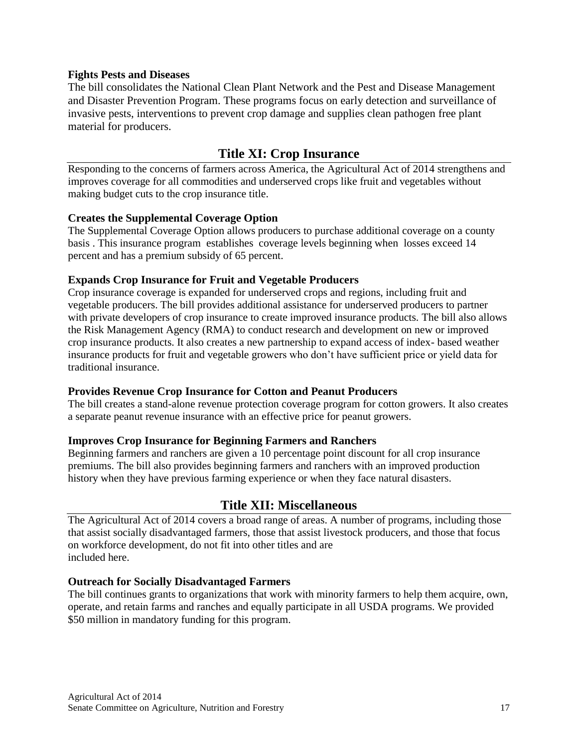## **Fights Pests and Diseases**

The bill consolidates the National Clean Plant Network and the Pest and Disease Management and Disaster Prevention Program. These programs focus on early detection and surveillance of invasive pests, interventions to prevent crop damage and supplies clean pathogen free plant material for producers.

# **Title XI: Crop Insurance**

Responding to the concerns of farmers across America, the Agricultural Act of 2014 strengthens and improves coverage for all commodities and underserved crops like fruit and vegetables without making budget cuts to the crop insurance title.

#### **Creates the Supplemental Coverage Option**

The Supplemental Coverage Option allows producers to purchase additional coverage on a county basis . This insurance program establishes coverage levels beginning when losses exceed 14 percent and has a premium subsidy of 65 percent.

#### **Expands Crop Insurance for Fruit and Vegetable Producers**

Crop insurance coverage is expanded for underserved crops and regions, including fruit and vegetable producers. The bill provides additional assistance for underserved producers to partner with private developers of crop insurance to create improved insurance products. The bill also allows the Risk Management Agency (RMA) to conduct research and development on new or improved crop insurance products. It also creates a new partnership to expand access of index- based weather insurance products for fruit and vegetable growers who don't have sufficient price or yield data for traditional insurance.

#### **Provides Revenue Crop Insurance for Cotton and Peanut Producers**

The bill creates a stand-alone revenue protection coverage program for cotton growers. It also creates a separate peanut revenue insurance with an effective price for peanut growers.

# **Improves Crop Insurance for Beginning Farmers and Ranchers**

Beginning farmers and ranchers are given a 10 percentage point discount for all crop insurance premiums. The bill also provides beginning farmers and ranchers with an improved production history when they have previous farming experience or when they face natural disasters.

# **Title XII: Miscellaneous**

The Agricultural Act of 2014 covers a broad range of areas. A number of programs, including those that assist socially disadvantaged farmers, those that assist livestock producers, and those that focus on workforce development, do not fit into other titles and are included here.

#### **Outreach for Socially Disadvantaged Farmers**

The bill continues grants to organizations that work with minority farmers to help them acquire, own, operate, and retain farms and ranches and equally participate in all USDA programs. We provided \$50 million in mandatory funding for this program.